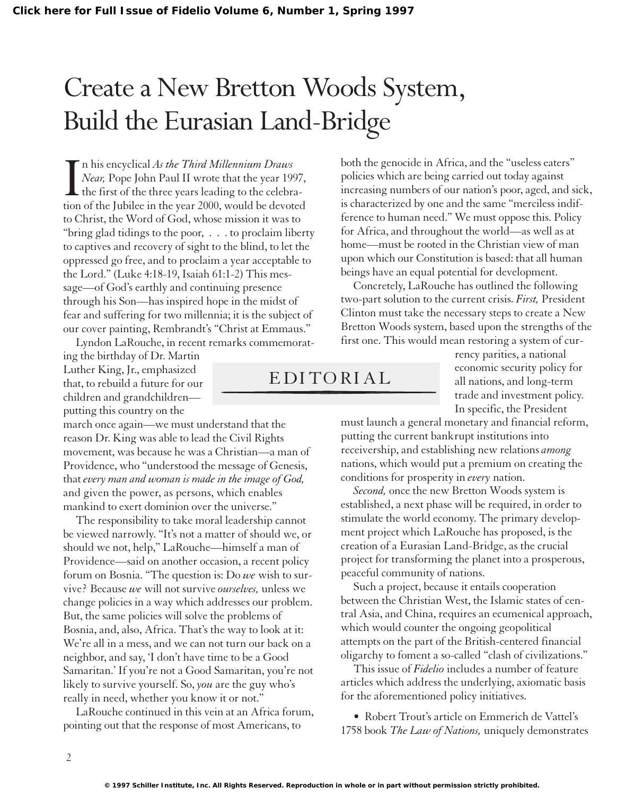## Create a New Bretton Woods System, Build the Eurasian Land-Bridge

In his encyclical As the Third Millennium Draws<br>Near, Pope John Paul II wrote that the year 1997,<br>the first of the three years leading to the celebra-<br>tion of the Jubilee in the year 2000, would be devoted n his encyclical *As the Third Millennium Draws Near,* Pope John Paul II wrote that the year 1997,  $\blacksquare$  the first of the three years leading to the celebrato Christ, the Word of God, whose mission it was to "bring glad tidings to the poor, . . . to proclaim liberty to captives and recovery of sight to the blind, to let the oppressed go free, and to proclaim a year acceptable to the Lord." (Luke 4:18-19, Isaiah 61:1-2) This message—of God's earthly and continuing presence through his Son—has inspired hope in the midst of fear and suffering for two millennia; it is the subject of our cover painting, Rembrandt's "Christ at Emmaus."

Lyndon LaRouche, in recent remarks commemorating the birthday of Dr. Martin Luther King, Jr., emphasized that, to rebuild a future for our children and grandchildren putting this country on the

march once again—we must understand that the reason Dr. King was able to lead the Civil Rights movement, was because he was a Christian—a man of Providence, who "understood the message of Genesis, that *every man and woman is made in the image of God,* and given the power, as persons, which enables mankind to exert dominion over the universe."

The responsibility to take moral leadership cannot be viewed narrowly. "It's not a matter of should we, or should we not, help," LaRouche—himself a man of Providence—said on another occasion, a recent policy forum on Bosnia. "The question is: Do *we* wish to survive? Because *we* will not survive *ourselves,* unless we change policies in a way which addresses our problem. But, the same policies will solve the problems of Bosnia, and, also, Africa. That's the way to look at it: We're all in a mess, and we can not turn our back on a neighbor, and say, 'I don't have time to be a Good Samaritan.' If you're not a Good Samaritan, you're not likely to survive yourself. So, *you* are the guy who's really in need, whether you know it or not."

LaRouche continued in this vein at an Africa forum, pointing out that the response of most Americans, to

both the genocide in Africa, and the "useless eaters" policies which are being carried out today against increasing numbers of our nation's poor, aged, and sick, is characterized by one and the same "merciless indifference to human need." We must oppose this. Policy for Africa, and throughout the world—as well as at home—must be rooted in the Christian view of man upon which our Constitution is based: that all human beings have an equal potential for development.

Concretely, LaRouche has outlined the following two-part solution to the current crisis. *First,* President Clinton must take the necessary steps to create a New Bretton Woods system, based upon the strengths of the first one. This would mean restoring a system of cur-

> rency parities, a national economic security policy for all nations, and long-term trade and investment policy. In specific, the President

must launch a general monetary and financial reform, putting the current bankrupt institutions into receivership, and establishing new relations *among* nations, which would put a premium on creating the conditions for prosperity in *every* nation.

*Second,* once the new Bretton Woods system is established, a next phase will be required, in order to stimulate the world economy. The primary development project which LaRouche has proposed, is the creation of a Eurasian Land-Bridge, as the crucial project for transforming the planet into a prosperous, peaceful community of nations.

Such a project, because it entails cooperation between the Christian West, the Islamic states of central Asia, and China, requires an ecumenical approach, which would counter the ongoing geopolitical attempts on the part of the British-centered financial oligarchy to foment a so-called "clash of civilizations."

This issue of *Fidelio* includes a number of feature articles which address the underlying, axiomatic basis for the aforementioned policy initiatives.

• Robert Trout's article on Emmerich de Vattel's 1758 book *The Law of Nations,* uniquely demonstrates

EDITORIAL